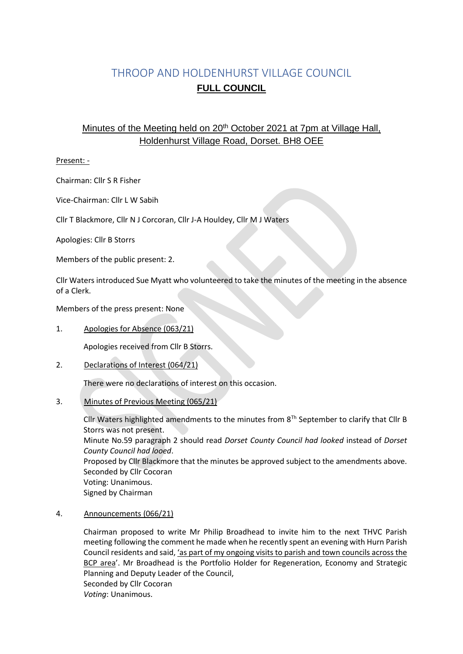# THROOP AND HOLDENHURST VILLAGE COUNCIL **FULL COUNCIL**

# Minutes of the Meeting held on 20<sup>th</sup> October 2021 at 7pm at Village Hall, Holdenhurst Village Road, Dorset. BH8 OEE

# Present: -

Chairman: Cllr S R Fisher

Vice-Chairman: Cllr L W Sabih

Cllr T Blackmore, Cllr N J Corcoran, Cllr J-A Houldey, Cllr M J Waters

Apologies: Cllr B Storrs

Members of the public present: 2.

Cllr Waters introduced Sue Myatt who volunteered to take the minutes of the meeting in the absence of a Clerk.

Members of the press present: None

1. Apologies for Absence (063/21)

Apologies received from Cllr B Storrs.

2. Declarations of Interest (064/21)

There were no declarations of interest on this occasion.

3. Minutes of Previous Meeting (065/21)

Cllr Waters highlighted amendments to the minutes from  $8<sup>Th</sup>$  September to clarify that Cllr B Storrs was not present. Minute No.59 paragraph 2 should read *Dorset County Council had looked* instead of *Dorset County Council had looed*. Proposed by Cllr Blackmore that the minutes be approved subject to the amendments above. Seconded by Cllr Cocoran Voting: Unanimous. Signed by Chairman

4. Announcements (066/21)

Chairman proposed to write Mr Philip Broadhead to invite him to the next THVC Parish meeting following the comment he made when he recently spent an evening with Hurn Parish Council residents and said, 'as part of my ongoing visits to parish and town councils across the BCP area'. Mr Broadhead is the Portfolio Holder for Regeneration, Economy and Strategic Planning and Deputy Leader of the Council, Seconded by Cllr Cocoran *Voting*: Unanimous.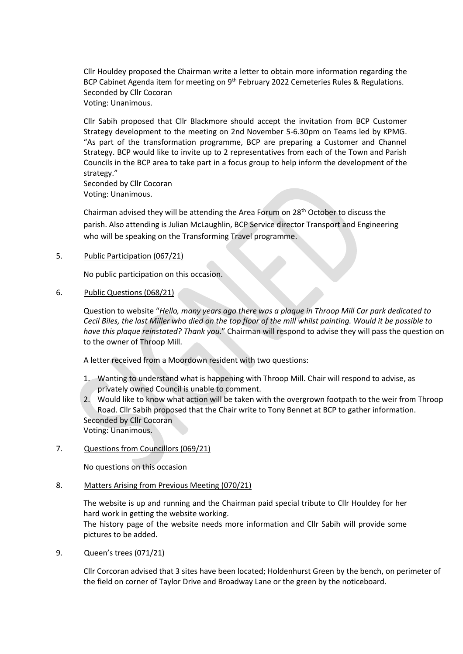Cllr Houldey proposed the Chairman write a letter to obtain more information regarding the BCP Cabinet Agenda item for meeting on 9<sup>th</sup> February 2022 Cemeteries Rules & Regulations. Seconded by Cllr Cocoran Voting: Unanimous.

Cllr Sabih proposed that Cllr Blackmore should accept the invitation from BCP Customer Strategy development to the meeting on 2nd November 5-6.30pm on Teams led by KPMG. "As part of the transformation programme, BCP are preparing a Customer and Channel Strategy. BCP would like to invite up to 2 representatives from each of the Town and Parish Councils in the BCP area to take part in a focus group to help inform the development of the strategy."

Seconded by Cllr Cocoran Voting: Unanimous.

Chairman advised they will be attending the Area Forum on 28<sup>th</sup> October to discuss the parish. Also attending is Julian McLaughlin, BCP Service director Transport and Engineering who will be speaking on the Transforming Travel programme.

5. Public Participation (067/21)

No public participation on this occasion.

6. Public Questions (068/21)

Question to website "*Hello, many years ago there was a plaque in Throop Mill Car park dedicated to Cecil Biles, the last Miller who died on the top floor of the mill whilst painting. Would it be possible to have this plaque reinstated? Thank you*." Chairman will respond to advise they will pass the question on to the owner of Throop Mill.

A letter received from a Moordown resident with two questions:

- 1. Wanting to understand what is happening with Throop Mill. Chair will respond to advise, as privately owned Council is unable to comment.
- 2. Would like to know what action will be taken with the overgrown footpath to the weir from Throop Road. Cllr Sabih proposed that the Chair write to Tony Bennet at BCP to gather information. Seconded by Cllr Cocoran Voting: Unanimous.
- 7. Questions from Councillors (069/21)

No questions on this occasion

#### 8. Matters Arising from Previous Meeting (070/21)

The website is up and running and the Chairman paid special tribute to Cllr Houldey for her hard work in getting the website working. The history page of the website needs more information and Cllr Sabih will provide some pictures to be added.

9. Queen's trees (071/21)

Cllr Corcoran advised that 3 sites have been located; Holdenhurst Green by the bench, on perimeter of the field on corner of Taylor Drive and Broadway Lane or the green by the noticeboard.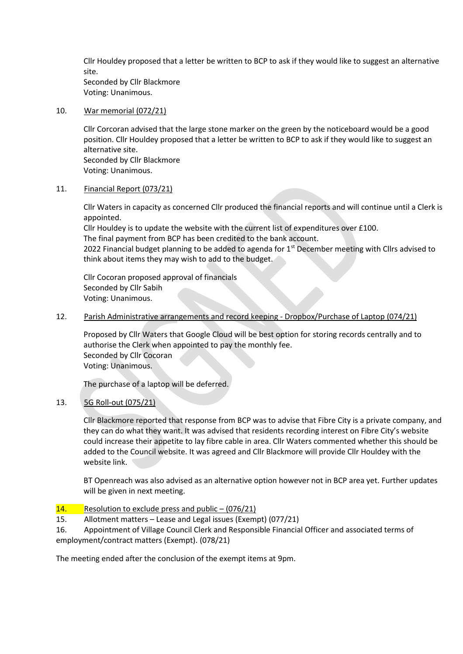Cllr Houldey proposed that a letter be written to BCP to ask if they would like to suggest an alternative site. Seconded by Cllr Blackmore

Voting: Unanimous.

#### 10. War memorial (072/21)

Cllr Corcoran advised that the large stone marker on the green by the noticeboard would be a good position. Cllr Houldey proposed that a letter be written to BCP to ask if they would like to suggest an alternative site. Seconded by Cllr Blackmore Voting: Unanimous.

#### 11. Financial Report (073/21)

Cllr Waters in capacity as concerned Cllr produced the financial reports and will continue until a Clerk is appointed.

Cllr Houldey is to update the website with the current list of expenditures over £100.

The final payment from BCP has been credited to the bank account.

2022 Financial budget planning to be added to agenda for  $1<sup>st</sup>$  December meeting with Cllrs advised to think about items they may wish to add to the budget.

Cllr Cocoran proposed approval of financials Seconded by Cllr Sabih Voting: Unanimous.

#### 12. Parish Administrative arrangements and record keeping - Dropbox/Purchase of Laptop (074/21)

Proposed by Cllr Waters that Google Cloud will be best option for storing records centrally and to authorise the Clerk when appointed to pay the monthly fee. Seconded by Cllr Cocoran Voting: Unanimous.

The purchase of a laptop will be deferred.

# 13. 5G Roll-out (075/21)

Cllr Blackmore reported that response from BCP was to advise that Fibre City is a private company, and they can do what they want. It was advised that residents recording interest on Fibre City's website could increase their appetite to lay fibre cable in area. Cllr Waters commented whether this should be added to the Council website. It was agreed and Cllr Blackmore will provide Cllr Houldey with the website link.

BT Openreach was also advised as an alternative option however not in BCP area yet. Further updates will be given in next meeting.

# 14. Resolution to exclude press and public  $-$  (076/21)

15. Allotment matters – Lease and Legal issues (Exempt) (077/21)

16. Appointment of Village Council Clerk and Responsible Financial Officer and associated terms of employment/contract matters (Exempt). (078/21)

The meeting ended after the conclusion of the exempt items at 9pm.